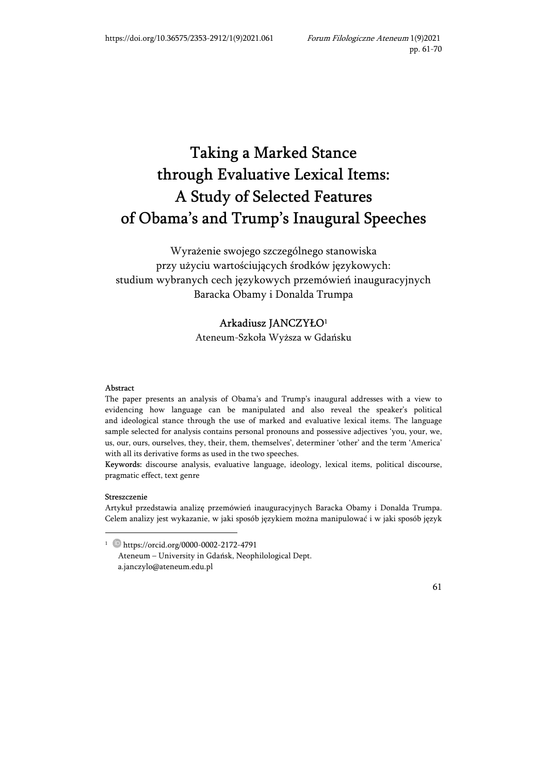# Taking a Marked Stance through Evaluative Lexical Items: A Study of Selected Features of Obama's and Trump's Inaugural Speeches

Wyrażenie swojego szczególnego stanowiska przy użyciu wartościujących środków językowych: studium wybranych cech językowych przemówień inauguracyjnych Baracka Obamy i Donalda Trumpa

## Arkadiusz JANCZYŁO<sup>1</sup> Ateneum-Szkoła Wyższa w Gdańsku

#### Abstract

The paper presents an analysis of Obama's and Trump's inaugural addresses with a view to evidencing how language can be manipulated and also reveal the speaker's political and ideological stance through the use of marked and evaluative lexical items. The language sample selected for analysis contains personal pronouns and possessive adjectives 'you, your, we, us, our, ours, ourselves, they, their, them, themselves', determiner 'other' and the term 'America' with all its derivative forms as used in the two speeches.

Keywords: discourse analysis, evaluative language, ideology, lexical items, political discourse, pragmatic effect, text genre

#### Streszczenie

Artykuł przedstawia analizę przemówień inauguracyjnych Baracka Obamy i Donalda Trumpa. Celem analizy jest wykazanie, w jaki sposób językiem można manipulować i w jaki sposób język

<sup>1</sup> https://orcid.org/0000-0002-2172-4791 Ateneum – University in Gdańsk, Neophilological Dept. a.janczylo@ateneum.edu.pl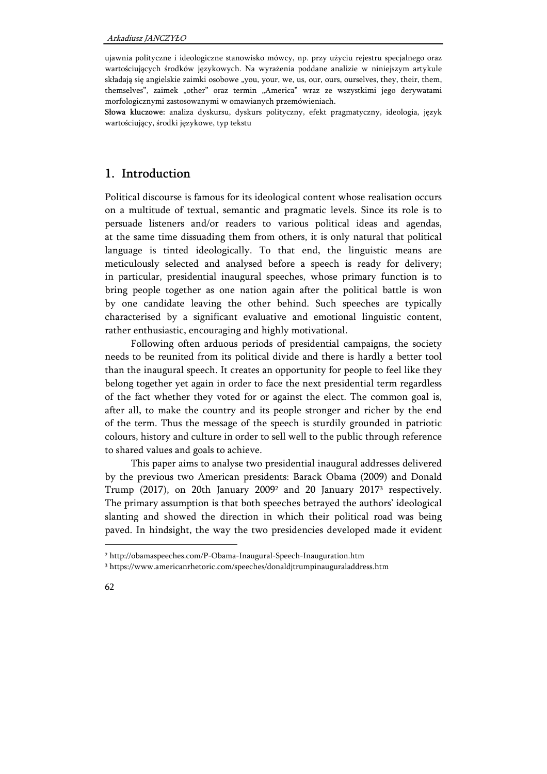ujawnia polityczne i ideologiczne stanowisko mówcy, np. przy użyciu rejestru specjalnego oraz wartościujących środków językowych. Na wyrażenia poddane analizie w niniejszym artykule składają się angielskie zaimki osobowe "you, your, we, us, our, ours, ourselves, they, their, them, themselves", zaimek "other" oraz termin "America" wraz ze wszystkimi jego derywatami morfologicznymi zastosowanymi w omawianych przemówieniach.

Słowa kluczowe: analiza dyskursu, dyskurs polityczny, efekt pragmatyczny, ideologia, język wartościujący, środki językowe, typ tekstu

### 1. Introduction

Political discourse is famous for its ideological content whose realisation occurs on a multitude of textual, semantic and pragmatic levels. Since its role is to persuade listeners and/or readers to various political ideas and agendas, at the same time dissuading them from others, it is only natural that political language is tinted ideologically. To that end, the linguistic means are meticulously selected and analysed before a speech is ready for delivery; in particular, presidential inaugural speeches, whose primary function is to bring people together as one nation again after the political battle is won by one candidate leaving the other behind. Such speeches are typically characterised by a significant evaluative and emotional linguistic content, rather enthusiastic, encouraging and highly motivational.

Following often arduous periods of presidential campaigns, the society needs to be reunited from its political divide and there is hardly a better tool than the inaugural speech. It creates an opportunity for people to feel like they belong together yet again in order to face the next presidential term regardless of the fact whether they voted for or against the elect. The common goal is, after all, to make the country and its people stronger and richer by the end of the term. Thus the message of the speech is sturdily grounded in patriotic colours, history and culture in order to sell well to the public through reference to shared values and goals to achieve.

This paper aims to analyse two presidential inaugural addresses delivered by the previous two American presidents: Barack Obama (2009) and Donald Trump (2017), on 20th January 2009<sup>2</sup> and 20 January 2017<sup>3</sup> respectively. The primary assumption is that both speeches betrayed the authors' ideological slanting and showed the direction in which their political road was being paved. In hindsight, the way the two presidencies developed made it evident

 $\ddot{\phantom{a}}$ 

<sup>2</sup> http://obamaspeeches.com/P-Obama-Inaugural-Speech-Inauguration.htm

<sup>3</sup> https://www.americanrhetoric.com/speeches/donaldjtrumpinauguraladdress.htm

<sup>62</sup>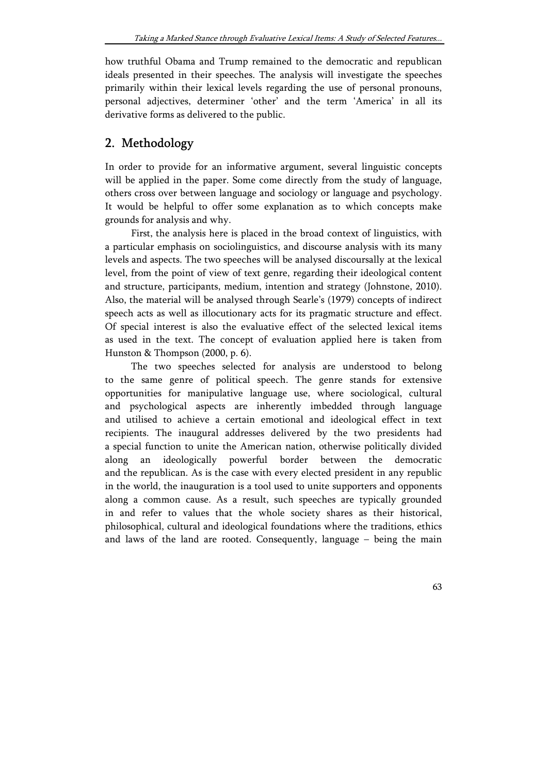how truthful Obama and Trump remained to the democratic and republican ideals presented in their speeches. The analysis will investigate the speeches primarily within their lexical levels regarding the use of personal pronouns, personal adjectives, determiner 'other' and the term 'America' in all its derivative forms as delivered to the public.

## 2. Methodology

In order to provide for an informative argument, several linguistic concepts will be applied in the paper. Some come directly from the study of language, others cross over between language and sociology or language and psychology. It would be helpful to offer some explanation as to which concepts make grounds for analysis and why.

First, the analysis here is placed in the broad context of linguistics, with a particular emphasis on sociolinguistics, and discourse analysis with its many levels and aspects. The two speeches will be analysed discoursally at the lexical level, from the point of view of text genre, regarding their ideological content and structure, participants, medium, intention and strategy (Johnstone, 2010). Also, the material will be analysed through Searle's (1979) concepts of indirect speech acts as well as illocutionary acts for its pragmatic structure and effect. Of special interest is also the evaluative effect of the selected lexical items as used in the text. The concept of evaluation applied here is taken from Hunston & Thompson (2000, p. 6).

The two speeches selected for analysis are understood to belong to the same genre of political speech. The genre stands for extensive opportunities for manipulative language use, where sociological, cultural and psychological aspects are inherently imbedded through language and utilised to achieve a certain emotional and ideological effect in text recipients. The inaugural addresses delivered by the two presidents had a special function to unite the American nation, otherwise politically divided along an ideologically powerful border between the democratic and the republican. As is the case with every elected president in any republic in the world, the inauguration is a tool used to unite supporters and opponents along a common cause. As a result, such speeches are typically grounded in and refer to values that the whole society shares as their historical, philosophical, cultural and ideological foundations where the traditions, ethics and laws of the land are rooted. Consequently, language – being the main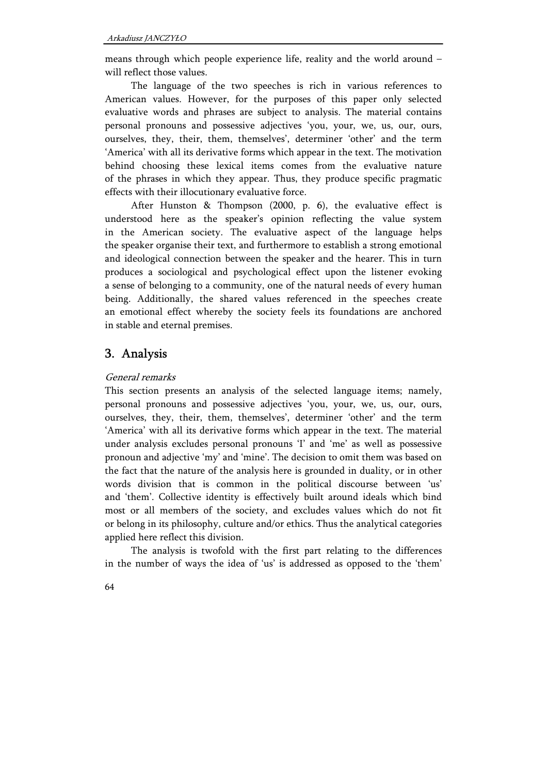means through which people experience life, reality and the world around – will reflect those values.

The language of the two speeches is rich in various references to American values. However, for the purposes of this paper only selected evaluative words and phrases are subject to analysis. The material contains personal pronouns and possessive adjectives 'you, your, we, us, our, ours, ourselves, they, their, them, themselves', determiner 'other' and the term 'America' with all its derivative forms which appear in the text. The motivation behind choosing these lexical items comes from the evaluative nature of the phrases in which they appear. Thus, they produce specific pragmatic effects with their illocutionary evaluative force.

After Hunston & Thompson (2000, p. 6), the evaluative effect is understood here as the speaker's opinion reflecting the value system in the American society. The evaluative aspect of the language helps the speaker organise their text, and furthermore to establish a strong emotional and ideological connection between the speaker and the hearer. This in turn produces a sociological and psychological effect upon the listener evoking a sense of belonging to a community, one of the natural needs of every human being. Additionally, the shared values referenced in the speeches create an emotional effect whereby the society feels its foundations are anchored in stable and eternal premises.

## 3. Analysis

#### General remarks

This section presents an analysis of the selected language items; namely, personal pronouns and possessive adjectives 'you, your, we, us, our, ours, ourselves, they, their, them, themselves', determiner 'other' and the term 'America' with all its derivative forms which appear in the text. The material under analysis excludes personal pronouns 'I' and 'me' as well as possessive pronoun and adjective 'my' and 'mine'. The decision to omit them was based on the fact that the nature of the analysis here is grounded in duality, or in other words division that is common in the political discourse between 'us' and 'them'. Collective identity is effectively built around ideals which bind most or all members of the society, and excludes values which do not fit or belong in its philosophy, culture and/or ethics. Thus the analytical categories applied here reflect this division.

The analysis is twofold with the first part relating to the differences in the number of ways the idea of 'us' is addressed as opposed to the 'them'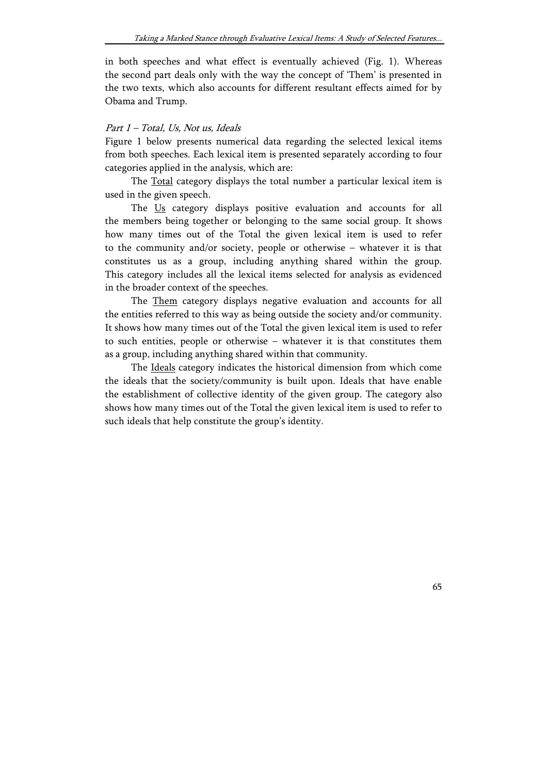in both speeches and what effect is eventually achieved (Fig. 1). Whereas the second part deals only with the way the concept of 'Them' is presented in the two texts, which also accounts for different resultant effects aimed for by Obama and Trump.

#### Part 1 – Total, Us, Not us, Ideals

Figure 1 below presents numerical data regarding the selected lexical items from both speeches. Each lexical item is presented separately according to four categories applied in the analysis, which are:

The Total category displays the total number a particular lexical item is used in the given speech.

The Us category displays positive evaluation and accounts for all the members being together or belonging to the same social group. It shows how many times out of the Total the given lexical item is used to refer to the community and/or society, people or otherwise – whatever it is that constitutes us as a group, including anything shared within the group. This category includes all the lexical items selected for analysis as evidenced in the broader context of the speeches.

The Them category displays negative evaluation and accounts for all the entities referred to this way as being outside the society and/or community. It shows how many times out of the Total the given lexical item is used to refer to such entities, people or otherwise – whatever it is that constitutes them as a group, including anything shared within that community.

The Ideals category indicates the historical dimension from which come the ideals that the society/community is built upon. Ideals that have enable the establishment of collective identity of the given group. The category also shows how many times out of the Total the given lexical item is used to refer to such ideals that help constitute the group's identity.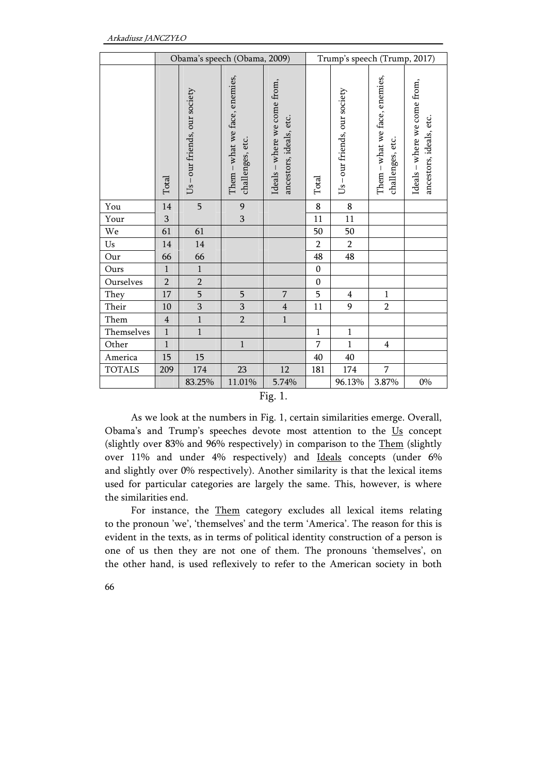|                        | Obama's speech (Obama, 2009) |                               |                                                   |                                                         | Trump's speech (Trump, 2017) |                             |                                                   |                                                         |
|------------------------|------------------------------|-------------------------------|---------------------------------------------------|---------------------------------------------------------|------------------------------|-----------------------------|---------------------------------------------------|---------------------------------------------------------|
|                        | Total                        | Us – our friends, our society | Them – what we face, enemies,<br>challenges, etc. | Ideals – where we come from,<br>ancestors, ideals, etc. | Total                        | Us-our friends, our society | Them – what we face, enemies,<br>challenges, etc. | Ideals - where we come from,<br>ancestors, ideals, etc. |
| You                    | $14\,$                       | 5                             | 9                                                 |                                                         | 8                            | $\bf 8$                     |                                                   |                                                         |
| Your                   | 3                            |                               | $\overline{3}$                                    |                                                         | 11                           | $11\,$                      |                                                   |                                                         |
| We                     | 61                           | 61                            |                                                   |                                                         | 50                           | 50                          |                                                   |                                                         |
| $\mathbf{U}\mathbf{s}$ | 14                           | 14                            |                                                   |                                                         | $\overline{2}$               | $\overline{2}$              |                                                   |                                                         |
| Our                    | 66                           | 66                            |                                                   |                                                         | 48                           | 48                          |                                                   |                                                         |
| Ours                   | $\mathbf{1}$                 | $\mathbf{1}$                  |                                                   |                                                         | $\boldsymbol{0}$             |                             |                                                   |                                                         |
| Ourselves              | $\overline{2}$               | $\overline{2}$                |                                                   |                                                         | $\boldsymbol{0}$             |                             |                                                   |                                                         |
| They                   | $17\,$                       | 5                             | 5                                                 | $\overline{7}$                                          | 5                            | $\overline{4}$              | $\mathbf{1}$                                      |                                                         |
| Their                  | $10\,$                       | $\mathbf{3}$                  | 3                                                 | $\overline{\mathbf{4}}$                                 | 11                           | 9                           | $\overline{2}$                                    |                                                         |
| Them                   | $\overline{4}$               | $\mathbf{1}$                  | $\overline{2}$                                    | $1\,$                                                   |                              |                             |                                                   |                                                         |
| Themselves             | $\,1\,$                      | $\,1$                         |                                                   |                                                         | $\,1$                        | $\,1\,$                     |                                                   |                                                         |
| Other                  | $\mathbf{1}$                 |                               | $\mathbf 1$                                       |                                                         | $\overline{7}$               | $\mathbf{1}$                | $\overline{4}$                                    |                                                         |
| America                | $15\,$                       | $15\,$                        |                                                   |                                                         | 40                           | $40\,$                      |                                                   |                                                         |
| <b>TOTALS</b>          | 209                          | 174                           | 23                                                | 12                                                      | 181                          | 174                         | 7                                                 |                                                         |
|                        |                              | 83.25%                        | 11.01%                                            | 5.74%                                                   |                              | 96.13%                      | 3.87%                                             | $0\%$                                                   |

Fig. 1.

As we look at the numbers in Fig. 1, certain similarities emerge. Overall, Obama's and Trump's speeches devote most attention to the Us concept (slightly over 83% and 96% respectively) in comparison to the Them (slightly over 11% and under 4% respectively) and Ideals concepts (under 6% and slightly over 0% respectively). Another similarity is that the lexical items used for particular categories are largely the same. This, however, is where the similarities end.

For instance, the **Them** category excludes all lexical items relating to the pronoun 'we', 'themselves' and the term 'America'. The reason for this is evident in the texts, as in terms of political identity construction of a person is one of us then they are not one of them. The pronouns 'themselves', on the other hand, is used reflexively to refer to the American society in both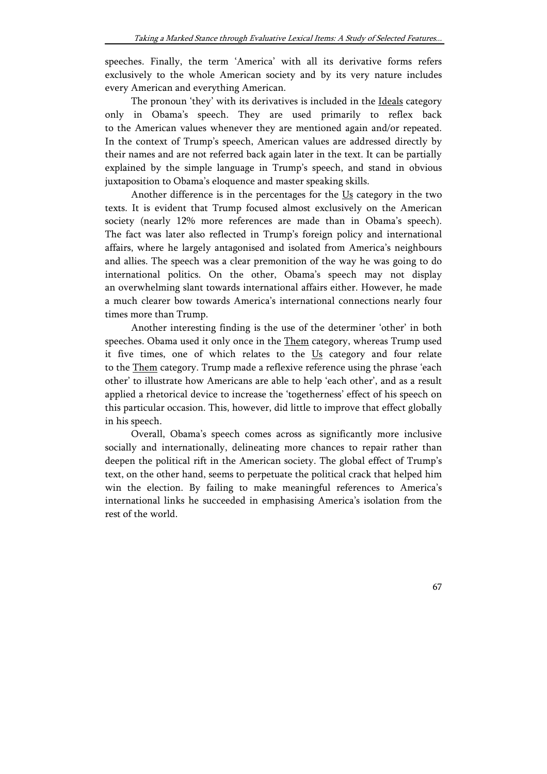speeches. Finally, the term 'America' with all its derivative forms refers exclusively to the whole American society and by its very nature includes every American and everything American.

The pronoun 'they' with its derivatives is included in the Ideals category only in Obama's speech. They are used primarily to reflex back to the American values whenever they are mentioned again and/or repeated. In the context of Trump's speech, American values are addressed directly by their names and are not referred back again later in the text. It can be partially explained by the simple language in Trump's speech, and stand in obvious juxtaposition to Obama's eloquence and master speaking skills.

Another difference is in the percentages for the Us category in the two texts. It is evident that Trump focused almost exclusively on the American society (nearly 12% more references are made than in Obama's speech). The fact was later also reflected in Trump's foreign policy and international affairs, where he largely antagonised and isolated from America's neighbours and allies. The speech was a clear premonition of the way he was going to do international politics. On the other, Obama's speech may not display an overwhelming slant towards international affairs either. However, he made a much clearer bow towards America's international connections nearly four times more than Trump.

Another interesting finding is the use of the determiner 'other' in both speeches. Obama used it only once in the Them category, whereas Trump used it five times, one of which relates to the Us category and four relate to the Them category. Trump made a reflexive reference using the phrase 'each other' to illustrate how Americans are able to help 'each other', and as a result applied a rhetorical device to increase the 'togetherness' effect of his speech on this particular occasion. This, however, did little to improve that effect globally in his speech.

Overall, Obama's speech comes across as significantly more inclusive socially and internationally, delineating more chances to repair rather than deepen the political rift in the American society. The global effect of Trump's text, on the other hand, seems to perpetuate the political crack that helped him win the election. By failing to make meaningful references to America's international links he succeeded in emphasising America's isolation from the rest of the world.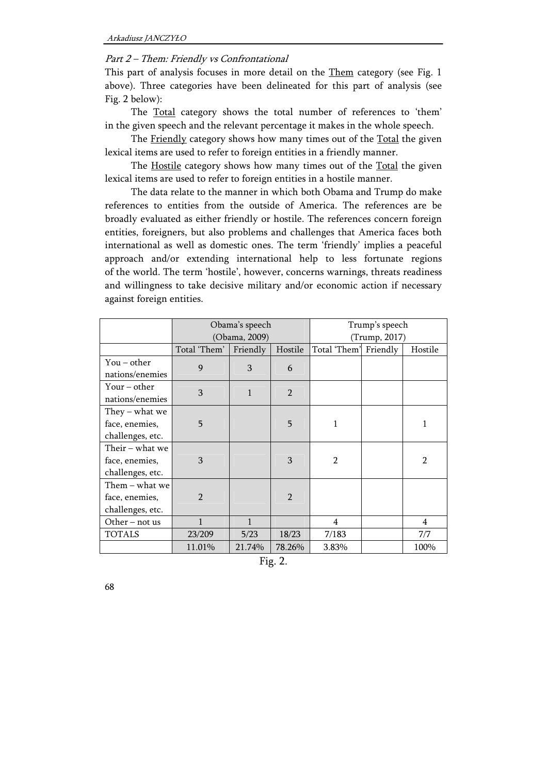#### Part 2 – Them: Friendly vs Confrontational

This part of analysis focuses in more detail on the Them category (see Fig. 1 above). Three categories have been delineated for this part of analysis (see Fig. 2 below):

The Total category shows the total number of references to 'them' in the given speech and the relevant percentage it makes in the whole speech.

The Friendly category shows how many times out of the Total the given lexical items are used to refer to foreign entities in a friendly manner.

The Hostile category shows how many times out of the Total the given lexical items are used to refer to foreign entities in a hostile manner.

The data relate to the manner in which both Obama and Trump do make references to entities from the outside of America. The references are be broadly evaluated as either friendly or hostile. The references concern foreign entities, foreigners, but also problems and challenges that America faces both international as well as domestic ones. The term 'friendly' implies a peaceful approach and/or extending international help to less fortunate regions of the world. The term 'hostile', however, concerns warnings, threats readiness and willingness to take decisive military and/or economic action if necessary against foreign entities.

|                                                       |                | Obama's speech<br>(Obama, 2009) |                | Trump's speech<br>(Trump, 2017) |  |                |  |
|-------------------------------------------------------|----------------|---------------------------------|----------------|---------------------------------|--|----------------|--|
|                                                       | Total 'Them'   | Friendly                        | Hostile        | Total 'Them' Friendly           |  | Hostile        |  |
| $You - other$<br>nations/enemies                      | 9              | 3                               | 6              |                                 |  |                |  |
| Your – other<br>nations/enemies                       | 3              | 1                               | $\overline{2}$ |                                 |  |                |  |
| They – what we<br>face, enemies,<br>challenges, etc.  | 5              |                                 | 5              | 1                               |  | 1              |  |
| Their – what we<br>face, enemies,<br>challenges, etc. | 3              |                                 | 3              | $\overline{2}$                  |  | $\overline{2}$ |  |
| Them – what we<br>face, enemies,<br>challenges, etc.  | $\overline{2}$ |                                 | $\overline{2}$ |                                 |  |                |  |
| Other – not us                                        | 1              | 1                               |                | $\overline{4}$                  |  | 4              |  |
| <b>TOTALS</b>                                         | 23/209         | 5/23                            | 18/23          | 7/183                           |  | 7/7            |  |
|                                                       | 11.01%         | 21.74%                          | 78.26%         | 3.83%                           |  | 100%           |  |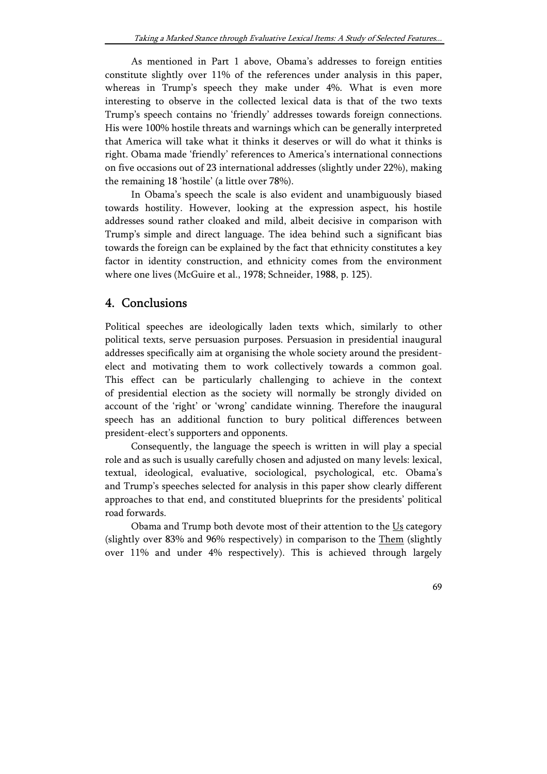As mentioned in Part 1 above, Obama's addresses to foreign entities constitute slightly over 11% of the references under analysis in this paper, whereas in Trump's speech they make under 4%. What is even more interesting to observe in the collected lexical data is that of the two texts Trump's speech contains no 'friendly' addresses towards foreign connections. His were 100% hostile threats and warnings which can be generally interpreted that America will take what it thinks it deserves or will do what it thinks is right. Obama made 'friendly' references to America's international connections on five occasions out of 23 international addresses (slightly under 22%), making the remaining 18 'hostile' (a little over 78%).

In Obama's speech the scale is also evident and unambiguously biased towards hostility. However, looking at the expression aspect, his hostile addresses sound rather cloaked and mild, albeit decisive in comparison with Trump's simple and direct language. The idea behind such a significant bias towards the foreign can be explained by the fact that ethnicity constitutes a key factor in identity construction, and ethnicity comes from the environment where one lives (McGuire et al., 1978; Schneider, 1988, p. 125).

## 4. Conclusions

Political speeches are ideologically laden texts which, similarly to other political texts, serve persuasion purposes. Persuasion in presidential inaugural addresses specifically aim at organising the whole society around the presidentelect and motivating them to work collectively towards a common goal. This effect can be particularly challenging to achieve in the context of presidential election as the society will normally be strongly divided on account of the 'right' or 'wrong' candidate winning. Therefore the inaugural speech has an additional function to bury political differences between president-elect's supporters and opponents.

Consequently, the language the speech is written in will play a special role and as such is usually carefully chosen and adjusted on many levels: lexical, textual, ideological, evaluative, sociological, psychological, etc. Obama's and Trump's speeches selected for analysis in this paper show clearly different approaches to that end, and constituted blueprints for the presidents' political road forwards.

Obama and Trump both devote most of their attention to the Us category (slightly over 83% and 96% respectively) in comparison to the Them (slightly over 11% and under 4% respectively). This is achieved through largely